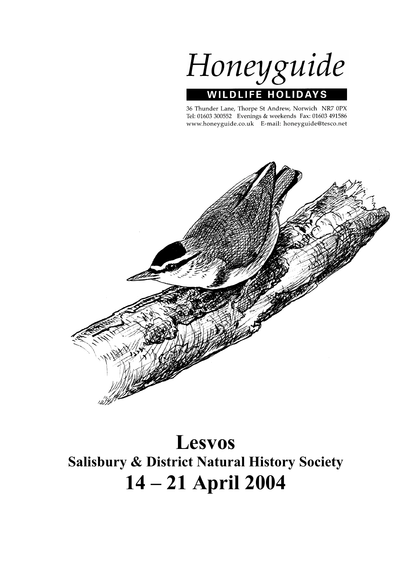

36 Thunder Lane, Thorpe St Andrew, Norwich NR7 0PX Tel: 01603 300552 Evenings & weekends Fax: 01603 491586 www.honeyguide.co.uk E-mail: honeyguide@tesco.net



**Lesvos Salisbury & District Natural History Society 14 – 21 April 2004**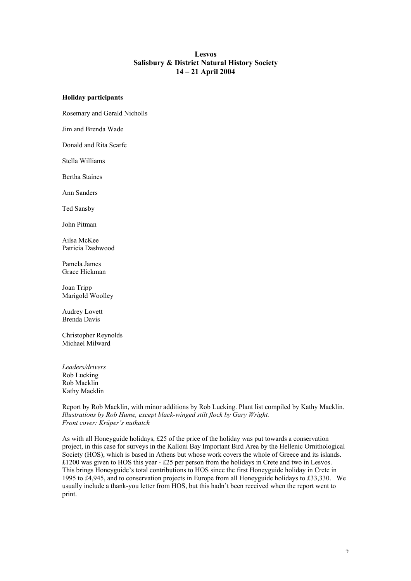## **Lesvos Salisbury & District Natural History Society 14 – 21 April 2004**

### **Holiday participants**

Rosemary and Gerald Nicholls

Jim and Brenda Wade

Donald and Rita Scarfe

Stella Williams

Bertha Staines

Ann Sanders

Ted Sansby

John Pitman

Ailsa McKee Patricia Dashwood

Pamela James Grace Hickman

Joan Tripp Marigold Woolley

Audrey Lovett Brenda Davis

Christopher Reynolds Michael Milward

*Leaders/drivers* Rob Lucking Rob Macklin Kathy Macklin

### Report by Rob Macklin, with minor additions by Rob Lucking. Plant list compiled by Kathy Macklin. *Illustrations by Rob Hume, except black-winged stilt flock by Gary Wright. Front cover: Krüper's nuthatch*

As with all Honeyguide holidays, £25 of the price of the holiday was put towards a conservation project, in this case for surveys in the Kalloni Bay Important Bird Area by the Hellenic Ornithological Society (HOS), which is based in Athens but whose work covers the whole of Greece and its islands. £1200 was given to HOS this year - £25 per person from the holidays in Crete and two in Lesvos. This brings Honeyguide's total contributions to HOS since the first Honeyguide holiday in Crete in 1995 to £4,945, and to conservation projects in Europe from all Honeyguide holidays to £33,330. We usually include a thank-you letter from HOS, but this hadn't been received when the report went to print.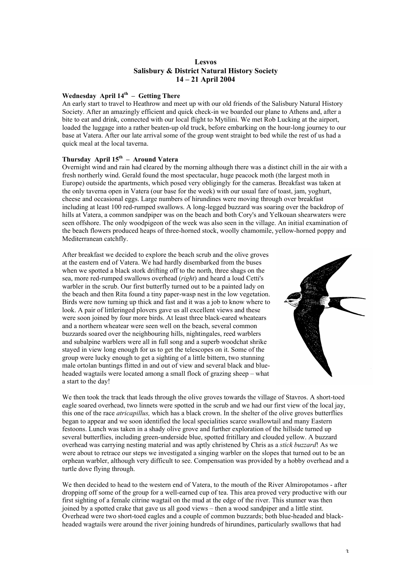## **Lesvos Salisbury & District Natural History Society 14 – 21 April 2004**

## **Wednesday April 14th – Getting There**

An early start to travel to Heathrow and meet up with our old friends of the Salisbury Natural History Society. After an amazingly efficient and quick check-in we boarded our plane to Athens and, after a bite to eat and drink, connected with our local flight to Mytilini. We met Rob Lucking at the airport, loaded the luggage into a rather beaten-up old truck, before embarking on the hour-long journey to our base at Vatera. After our late arrival some of the group went straight to bed while the rest of us had a quick meal at the local taverna.

# **Thursday April 15th – Around Vatera**

Overnight wind and rain had cleared by the morning although there was a distinct chill in the air with a fresh northerly wind. Gerald found the most spectacular, huge peacock moth (the largest moth in Europe) outside the apartments, which posed very obligingly for the cameras. Breakfast was taken at the only taverna open in Vatera (our base for the week) with our usual fare of toast, jam, yoghurt, cheese and occasional eggs. Large numbers of hirundines were moving through over breakfast including at least 100 red-rumped swallows. A long-legged buzzard was soaring over the backdrop of hills at Vatera, a common sandpiper was on the beach and both Cory's and Yelkouan shearwaters were seen offshore. The only woodpigeon of the week was also seen in the village. An initial examination of the beach flowers produced heaps of three-horned stock, woolly chamomile, yellow-horned poppy and Mediterranean catchfly.

After breakfast we decided to explore the beach scrub and the olive groves at the eastern end of Vatera. We had hardly disembarked from the buses when we spotted a black stork drifting off to the north, three shags on the sea, more red-rumped swallows overhead (*right*) and heard a loud Cetti's warbler in the scrub. Our first butterfly turned out to be a painted lady on the beach and then Rita found a tiny paper-wasp nest in the low vegetation. Birds were now turning up thick and fast and it was a job to know where to look. A pair of littleringed plovers gave us all excellent views and these were soon joined by four more birds. At least three black-eared wheatears and a northern wheatear were seen well on the beach, several common buzzards soared over the neighbouring hills, nightingales, reed warblers and subalpine warblers were all in full song and a superb woodchat shrike stayed in view long enough for us to get the telescopes on it. Some of the group were lucky enough to get a sighting of a little bittern, two stunning male ortolan buntings flitted in and out of view and several black and blueheaded wagtails were located among a small flock of grazing sheep – what a start to the day!



We then took the track that leads through the olive groves towards the village of Stavros. A short-toed eagle soared overhead, two linnets were spotted in the scrub and we had our first view of the local jay, this one of the race *atricapillus,* which has a black crown. In the shelter of the olive groves butterflies began to appear and we soon identified the local specialities scarce swallowtail and many Eastern festoons. Lunch was taken in a shady olive grove and further exploration of the hillside turned up several butterflies, including green-underside blue, spotted fritillary and clouded yellow. A buzzard overhead was carrying nesting material and was aptly christened by Chris as a *stick buzzard*! As we were about to retrace our steps we investigated a singing warbler on the slopes that turned out to be an orphean warbler, although very difficult to see. Compensation was provided by a hobby overhead and a turtle dove flying through.

We then decided to head to the western end of Vatera, to the mouth of the River Almiropotamos - after dropping off some of the group for a well-earned cup of tea. This area proved very productive with our first sighting of a female citrine wagtail on the mud at the edge of the river. This stunner was then joined by a spotted crake that gave us all good views – then a wood sandpiper and a little stint. Overhead were two short-toed eagles and a couple of common buzzards; both blue-headed and blackheaded wagtails were around the river joining hundreds of hirundines, particularly swallows that had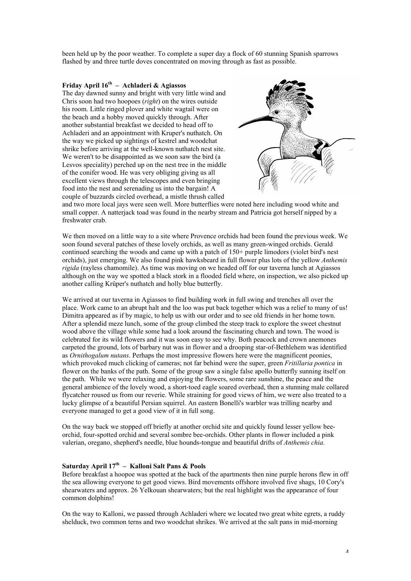been held up by the poor weather. To complete a super day a flock of 60 stunning Spanish sparrows flashed by and three turtle doves concentrated on moving through as fast as possible.

## **Friday April 16th – Achladeri & Agiassos**

The day dawned sunny and bright with very little wind and Chris soon had two hoopoes (*right*) on the wires outside his room. Little ringed plover and white wagtail were on the beach and a hobby moved quickly through. After another substantial breakfast we decided to head off to Achladeri and an appointment with Kruper's nuthatch. On the way we picked up sightings of kestrel and woodchat shrike before arriving at the well-known nuthatch nest site. We weren't to be disappointed as we soon saw the bird (a) Lesvos speciality) perched up on the nest tree in the middle of the conifer wood. He was very obliging giving us all excellent views through the telescopes and even bringing food into the nest and serenading us into the bargain! A couple of buzzards circled overhead, a mistle thrush called



and two more local jays were seen well. More butterflies were noted here including wood white and small copper. A natterjack toad was found in the nearby stream and Patricia got herself nipped by a freshwater crab.

We then moved on a little way to a site where Provence orchids had been found the previous week. We soon found several patches of these lovely orchids, as well as many green-winged orchids. Gerald continued searching the woods and came up with a patch of 150+ purple limodors (violet bird's nest orchids), just emerging. We also found pink hawksbeard in full flower plus lots of the yellow *Anthemis rigida* (rayless chamomile). As time was moving on we headed off for our taverna lunch at Agiassos although on the way we spotted a black stork in a flooded field where, on inspection, we also picked up another calling Krüper's nuthatch and holly blue butterfly.

We arrived at our taverna in Agiassos to find building work in full swing and trenches all over the place. Work came to an abrupt halt and the loo was put back together which was a relief to many of us! Dimitra appeared as if by magic, to help us with our order and to see old friends in her home town. After a splendid meze lunch, some of the group climbed the steep track to explore the sweet chestnut wood above the village while some had a look around the fascinating church and town. The wood is celebrated for its wild flowers and it was soon easy to see why. Both peacock and crown anemones carpeted the ground, lots of barbary nut was in flower and a drooping star-of-Bethlehem was identified as *Ornithogalum nutans*. Perhaps the most impressive flowers here were the magnificent peonies, which provoked much clicking of cameras; not far behind were the super, green *Fritillaria pontica* in flower on the banks of the path. Some of the group saw a single false apollo butterfly sunning itself on the path. While we were relaxing and enjoying the flowers, some rare sunshine, the peace and the general ambience of the lovely wood, a short-toed eagle soared overhead, then a stunning male collared flycatcher roused us from our reverie. While straining for good views of him, we were also treated to a lucky glimpse of a beautiful Persian squirrel. An eastern Bonelli's warbler was trilling nearby and everyone managed to get a good view of it in full song.

On the way back we stopped off briefly at another orchid site and quickly found lesser yellow beeorchid, four-spotted orchid and several sombre bee-orchids. Other plants in flower included a pink valerian, oregano, shepherd's needle, blue hounds-tongue and beautiful drifts of *Anthemis chia.*

## Saturday April 17<sup>th</sup> – Kalloni Salt Pans & Pools

Before breakfast a hoopoe was spotted at the back of the apartments then nine purple herons flew in off the sea allowing everyone to get good views. Bird movements offshore involved five shags, 10 Cory's shearwaters and approx. 26 Yelkouan shearwaters; but the real highlight was the appearance of four common dolphins!

On the way to Kalloni, we passed through Achladeri where we located two great white egrets, a ruddy shelduck, two common terns and two woodchat shrikes. We arrived at the salt pans in mid-morning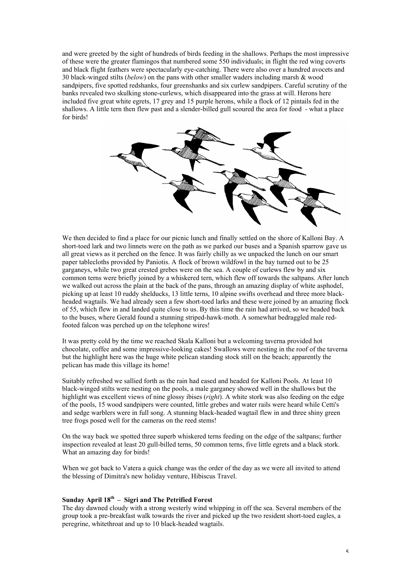and were greeted by the sight of hundreds of birds feeding in the shallows. Perhaps the most impressive of these were the greater flamingos that numbered some 550 individuals; in flight the red wing coverts and black flight feathers were spectacularly eye-catching. There were also over a hundred avocets and 30 black-winged stilts (*below*) on the pans with other smaller waders including marsh & wood sandpipers, five spotted redshanks, four greenshanks and six curlew sandpipers. Careful scrutiny of the banks revealed two skulking stone-curlews, which disappeared into the grass at will. Herons here included five great white egrets, 17 grey and 15 purple herons, while a flock of 12 pintails fed in the shallows. A little tern then flew past and a slender-billed gull scoured the area for food - what a place for birds!



We then decided to find a place for our picnic lunch and finally settled on the shore of Kalloni Bay. A short-toed lark and two linnets were on the path as we parked our buses and a Spanish sparrow gave us all great views as it perched on the fence. It was fairly chilly as we unpacked the lunch on our smart paper tablecloths provided by Paniotis. A flock of brown wildfowl in the bay turned out to be 25 garganeys, while two great crested grebes were on the sea. A couple of curlews flew by and six common terns were briefly joined by a whiskered tern, which flew off towards the saltpans. After lunch we walked out across the plain at the back of the pans, through an amazing display of white asphodel, picking up at least 10 ruddy shelducks, 13 little terns, 10 alpine swifts overhead and three more blackheaded wagtails. We had already seen a few short-toed larks and these were joined by an amazing flock of 55, which flew in and landed quite close to us. By this time the rain had arrived, so we headed back to the buses, where Gerald found a stunning striped-hawk-moth. A somewhat bedraggled male redfooted falcon was perched up on the telephone wires!

It was pretty cold by the time we reached Skala Kalloni but a welcoming taverna provided hot chocolate, coffee and some impressive-looking cakes! Swallows were nesting in the roof of the taverna but the highlight here was the huge white pelican standing stock still on the beach; apparently the pelican has made this village its home!

Suitably refreshed we sallied forth as the rain had eased and headed for Kalloni Pools. At least 10 black-winged stilts were nesting on the pools, a male garganey showed well in the shallows but the highlight was excellent views of nine glossy ibises (*right*). A white stork was also feeding on the edge of the pools, 15 wood sandpipers were counted, little grebes and water rails were heard while Cetti's and sedge warblers were in full song. A stunning black-headed wagtail flew in and three shiny green tree frogs posed well for the cameras on the reed stems!

On the way back we spotted three superb whiskered terns feeding on the edge of the saltpans; further inspection revealed at least 20 gull-billed terns, 50 common terns, five little egrets and a black stork. What an amazing day for birds!

When we got back to Vatera a quick change was the order of the day as we were all invited to attend the blessing of Dimitra's new holiday venture, Hibiscus Travel.

# **Sunday April 18th – Sigri and The Petrified Forest**

The day dawned cloudy with a strong westerly wind whipping in off the sea. Several members of the group took a pre-breakfast walk towards the river and picked up the two resident short-toed eagles, a peregrine, whitethroat and up to 10 black-headed wagtails.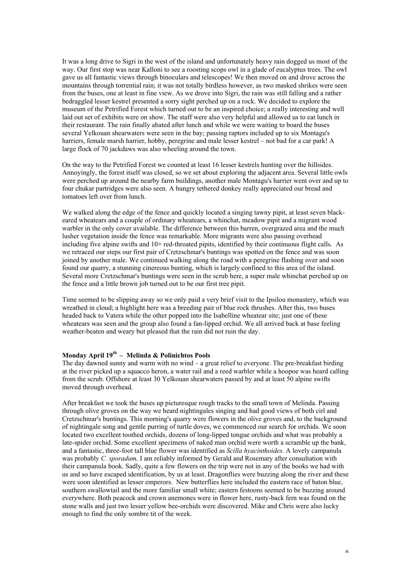It was a long drive to Sigri in the west of the island and unfortunately heavy rain dogged us most of the way. Our first stop was near Kalloni to see a roosting scops owl in a glade of eucalyptus trees. The owl gave us all fantastic views through binoculars and telescopes! We then moved on and drove across the mountains through torrential rain; it was not totally birdless however, as two masked shrikes were seen from the buses, one at least in fine view. As we drove into Sigri, the rain was still falling and a rather bedraggled lesser kestrel presented a sorry sight perched up on a rock. We decided to explore the museum of the Petrified Forest which turned out to be an inspired choice; a really interesting and well laid out set of exhibits were on show. The staff were also very helpful and allowed us to eat lunch in their restaurant. The rain finally abated after lunch and while we were waiting to board the buses several Yelkouan shearwaters were seen in the bay; passing raptors included up to six Montagu's harriers, female marsh harrier, hobby, peregrine and male lesser kestrel – not bad for a car park! A large flock of 70 jackdaws was also wheeling around the town.

On the way to the Petrified Forest we counted at least 16 lesser kestrels hunting over the hillsides. Annoyingly, the forest itself was closed, so we set about exploring the adjacent area. Several little owls were perched up around the nearby farm buildings, another male Montagu's harrier went over and up to four chukar partridges were also seen. A hungry tethered donkey really appreciated our bread and tomatoes left over from lunch.

We walked along the edge of the fence and quickly located a singing tawny pipit, at least seven blackeared wheatears and a couple of ordinary wheatears, a whinchat, meadow pipit and a migrant wood warbler in the only cover available. The difference between this barren, overgrazed area and the much lusher vegetation inside the fence was remarkable. More migrants were also passing overhead including five alpine swifts and 10+ red-throated pipits, identified by their continuous flight calls. As we retraced our steps our first pair of Cretzschmar's buntings was spotted on the fence and was soon joined by another male. We continued walking along the road with a peregrine flashing over and soon found our quarry, a stunning cinereous bunting, which is largely confined to this area of the island. Several more Cretzschmar's buntings were seen in the scrub here, a super male whinchat perched up on the fence and a little brown job turned out to be our first tree pipit.

Time seemed to be slipping away so we only paid a very brief visit to the Ipsilou monastery, which was wreathed in cloud; a highlight here was a breeding pair of blue rock thrushes. After this, two buses headed back to Vatera while the other popped into the Isabelline wheatear site; just one of these wheatears was seen and the group also found a fan-lipped orchid. We all arrived back at base feeling weather-beaten and weary but pleased that the rain did not ruin the day.

# **Monday April 19th – Melinda & Polinichtos Pools**

The day dawned sunny and warm with no wind – a great relief to everyone. The pre-breakfast birding at the river picked up a squacco heron, a water rail and a reed warbler while a hoopoe was heard calling from the scrub. Offshore at least 30 Yelkouan shearwaters passed by and at least 50 alpine swifts moved through overhead.

After breakfast we took the buses up picturesque rough tracks to the small town of Melinda. Passing through olive groves on the way we heard nightingales singing and had good views of both cirl and Cretzschmar's buntings. This morning's quarry were flowers in the olive groves and, to the background of nightingale song and gentle purring of turtle doves, we commenced our search for orchids. We soon located two excellent toothed orchids, dozens of long-lipped tongue orchids and what was probably a late-spider orchid. Some excellent specimens of naked man orchid were worth a scramble up the bank, and a fantastic, three-foot tall blue flower was identified as *Scilla hyacinthoides*. A lovely campanula was probably *C. sporadum,* I am reliably informed by Gerald and Rosemary after consultation with their campanula book. Sadly, quite a few flowers on the trip were not in any of the books we had with us and so have escaped identification, by us at least. Dragonflies were buzzing along the river and these were soon identified as lesser emperors. New butterflies here included the eastern race of baton blue, southern swallowtail and the more familiar small white; eastern festoons seemed to be buzzing around everywhere. Both peacock and crown anemones were in flower here, rusty-back fern was found on the stone walls and just two lesser yellow bee-orchids were discovered. Mike and Chris were also lucky enough to find the only sombre tit of the week.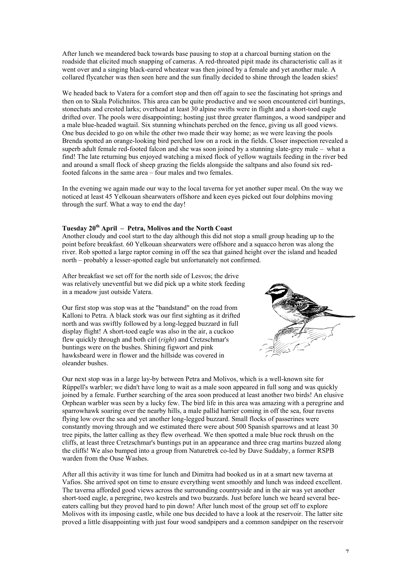After lunch we meandered back towards base pausing to stop at a charcoal burning station on the roadside that elicited much snapping of cameras. A red-throated pipit made its characteristic call as it went over and a singing black-eared wheatear was then joined by a female and yet another male. A collared flycatcher was then seen here and the sun finally decided to shine through the leaden skies!

We headed back to Vatera for a comfort stop and then off again to see the fascinating hot springs and then on to Skala Polichnitos. This area can be quite productive and we soon encountered cirl buntings, stonechats and crested larks; overhead at least 30 alpine swifts were in flight and a short-toed eagle drifted over. The pools were disappointing; hosting just three greater flamingos, a wood sandpiper and a male blue-headed wagtail. Six stunning whinchats perched on the fence, giving us all good views. One bus decided to go on while the other two made their way home; as we were leaving the pools Brenda spotted an orange-looking bird perched low on a rock in the fields. Closer inspection revealed a superb adult female red-footed falcon and she was soon joined by a stunning slate-grey male – what a find! The late returning bus enjoyed watching a mixed flock of yellow wagtails feeding in the river bed and around a small flock of sheep grazing the fields alongside the saltpans and also found six redfooted falcons in the same area – four males and two females.

In the evening we again made our way to the local taverna for yet another super meal. On the way we noticed at least 45 Yelkouan shearwaters offshore and keen eyes picked out four dolphins moving through the surf. What a way to end the day!

## **Tuesday 20th April – Petra, Molivos and the North Coast**

Another cloudy and cool start to the day although this did not stop a small group heading up to the point before breakfast. 60 Yelkouan shearwaters were offshore and a squacco heron was along the river. Rob spotted a large raptor coming in off the sea that gained height over the island and headed north – probably a lesser-spotted eagle but unfortunately not confirmed.

After breakfast we set off for the north side of Lesvos; the drive was relatively uneventful but we did pick up a white stork feeding in a meadow just outside Vatera.

Our first stop was stop was at the "bandstand" on the road from Kalloni to Petra. A black stork was our first sighting as it drifted north and was swiftly followed by a long-legged buzzard in full display flight! A short-toed eagle was also in the air, a cuckoo flew quickly through and both cirl (*right*) and Cretzschmar's buntings were on the bushes. Shining figwort and pink hawksbeard were in flower and the hillside was covered in oleander bushes.



Our next stop was in a large lay-by between Petra and Molivos, which is a well-known site for Rüppell's warbler; we didn't have long to wait as a male soon appeared in full song and was quickly joined by a female. Further searching of the area soon produced at least another two birds! An elusive Orphean warbler was seen by a lucky few. The bird life in this area was amazing with a peregrine and sparrowhawk soaring over the nearby hills, a male pallid harrier coming in off the sea, four ravens flying low over the sea and yet another long-legged buzzard. Small flocks of passerines were constantly moving through and we estimated there were about 500 Spanish sparrows and at least 30 tree pipits, the latter calling as they flew overhead. We then spotted a male blue rock thrush on the cliffs, at least three Cretzschmar's buntings put in an appearance and three crag martins buzzed along the cliffs! We also bumped into a group from Naturetrek co-led by Dave Suddaby, a former RSPB warden from the Ouse Washes.

After all this activity it was time for lunch and Dimitra had booked us in at a smart new taverna at Vafios. She arrived spot on time to ensure everything went smoothly and lunch was indeed excellent. The taverna afforded good views across the surrounding countryside and in the air was yet another short-toed eagle, a peregrine, two kestrels and two buzzards. Just before lunch we heard several beeeaters calling but they proved hard to pin down! After lunch most of the group set off to explore Molivos with its imposing castle, while one bus decided to have a look at the reservoir. The latter site proved a little disappointing with just four wood sandpipers and a common sandpiper on the reservoir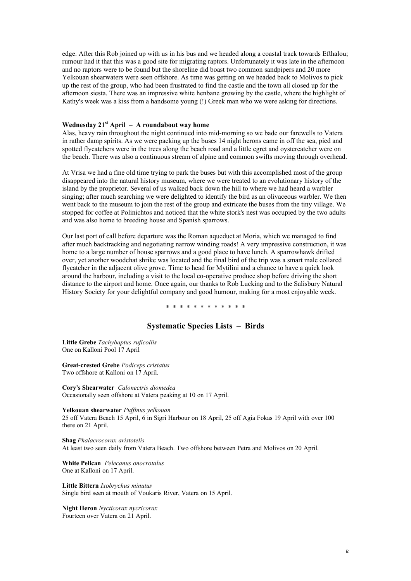edge. After this Rob joined up with us in his bus and we headed along a coastal track towards Efthalou; rumour had it that this was a good site for migrating raptors. Unfortunately it was late in the afternoon and no raptors were to be found but the shoreline did boast two common sandpipers and 20 more Yelkouan shearwaters were seen offshore. As time was getting on we headed back to Molivos to pick up the rest of the group, who had been frustrated to find the castle and the town all closed up for the afternoon siesta. There was an impressive white henbane growing by the castle, where the highlight of Kathy's week was a kiss from a handsome young (!) Greek man who we were asking for directions.

## **Wednesday 21st April – A roundabout way home**

Alas, heavy rain throughout the night continued into mid-morning so we bade our farewells to Vatera in rather damp spirits. As we were packing up the buses 14 night herons came in off the sea, pied and spotted flycatchers were in the trees along the beach road and a little egret and oystercatcher were on the beach. There was also a continuous stream of alpine and common swifts moving through overhead.

At Vrisa we had a fine old time trying to park the buses but with this accomplished most of the group disappeared into the natural history museum, where we were treated to an evolutionary history of the island by the proprietor. Several of us walked back down the hill to where we had heard a warbler singing; after much searching we were delighted to identify the bird as an olivaceous warbler. We then went back to the museum to join the rest of the group and extricate the buses from the tiny village. We stopped for coffee at Polinichtos and noticed that the white stork's nest was occupied by the two adults and was also home to breeding house and Spanish sparrows.

Our last port of call before departure was the Roman aqueduct at Moria, which we managed to find after much backtracking and negotiating narrow winding roads! A very impressive construction, it was home to a large number of house sparrows and a good place to have lunch. A sparrowhawk drifted over, yet another woodchat shrike was located and the final bird of the trip was a smart male collared flycatcher in the adjacent olive grove. Time to head for Mytilini and a chance to have a quick look around the harbour, including a visit to the local co-operative produce shop before driving the short distance to the airport and home. Once again, our thanks to Rob Lucking and to the Salisbury Natural History Society for your delightful company and good humour, making for a most enjoyable week.

\* \* \* \* \* \* \* \* \* \* \* \*

## **Systematic Species Lists – Birds**

**Little Grebe** *Tachybaptus ruficollis* One on Kalloni Pool 17 April

**Great-crested Grebe** *Podiceps cristatus* Two offshore at Kalloni on 17 April.

**Cory's Shearwater** *Calonectris diomedea* Occasionally seen offshore at Vatera peaking at 10 on 17 April.

**Yelkouan shearwater** *Puffinus yelkouan*

25 off Vatera Beach 15 April, 6 in Sigri Harbour on 18 April, 25 off Agia Fokas 19 April with over 100 there on 21 April.

**Shag** *Phalacrocorax aristotelis* At least two seen daily from Vatera Beach. Two offshore between Petra and Molivos on 20 April.

**White Pelican** *Pelecanus onocrotalus* One at Kalloni on 17 April.

**Little Bittern** *Ixobrychus minutus* Single bird seen at mouth of Voukaris River, Vatera on 15 April.

**Night Heron** *Nycticorax nycricorax* Fourteen over Vatera on 21 April.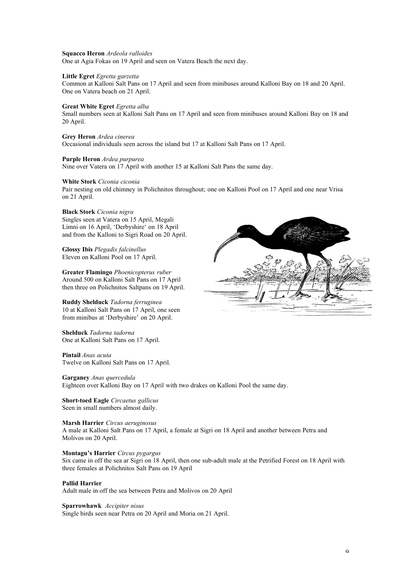#### **Squacco Heron** *Ardeola ralloides*

One at Agia Fokas on 19 April and seen on Vatera Beach the next day.

### **Little Egret** *Egretta garzetta*

Common at Kalloni Salt Pans on 17 April and seen from minibuses around Kalloni Bay on 18 and 20 April. One on Vatera beach on 21 April.

### **Great White Egret** *Egretta alba*

Small numbers seen at Kalloni Salt Pans on 17 April and seen from minibuses around Kalloni Bay on 18 and 20 April.

### **Grey Heron** *Ardea cinerea*

Occasional individuals seen across the island but 17 at Kalloni Salt Pans on 17 April.

## **Purple Heron** *Ardea purpurea*

Nine over Vatera on 17 April with another 15 at Kalloni Salt Pans the same day.

#### **White Stork** *Ciconia ciconia*

Pair nesting on old chimney in Polichnitos throughout; one on Kalloni Pool on 17 April and one near Vrisa on 21 April.

### **Black Stork** *Ciconia nigra*

Singles seen at Vatera on 15 April, Megali Limni on 16 April, 'Derbyshire' on 18 April and from the Kalloni to Sigri Road on 20 April.

## **Glossy Ibis** *Plegadis falcinellus*

Eleven on Kalloni Pool on 17 April. **Greater Flamingo** *Phoenicopterus ruber*

Around 500 on Kalloni Salt Pans on 17 April then three on Polichnitos Saltpans on 19 April.

#### **Ruddy Shelduck** *Tadorna ferruginea*

10 at Kalloni Salt Pans on 17 April, one seen from minibus at 'Derbyshire' on 20 April.

**Shelduck** *Tadorna tadorna* One at Kalloni Salt Pans on 17 April.

#### **Pintail** *Anas acuta* Twelve on Kalloni Salt Pans on 17 April.

**Garganey** *Anas quercedula* Eighteen over Kalloni Bay on 17 April with two drakes on Kalloni Pool the same day.

**Short-toed Eagle** *Circaetus gallicus* Seen in small numbers almost daily.

**Marsh Harrier** *Circus aeruginosus* A male at Kalloni Salt Pans on 17 April, a female at Sigri on 18 April and another between Petra and Molivos on 20 April.

### **Montagu's Harrier** *Circus pygargus*

Six came in off the sea ar Sigri on 18 April, then one sub-adult male at the Petrified Forest on 18 April with three females at Polichnitos Salt Pans on 19 April

### **Pallid Harrier**

Adult male in off the sea between Petra and Molivos on 20 April

### **Sparrowhawk** *Accipiter nisus*

Single birds seen near Petra on 20 April and Moria on 21 April.

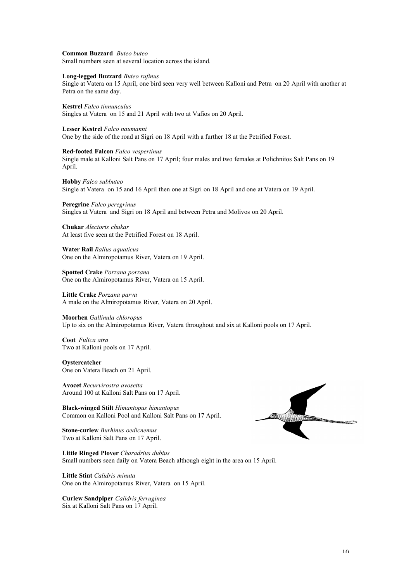#### **Common Buzzard** *Buteo buteo*

Small numbers seen at several location across the island.

## **Long-legged Buzzard** *Buteo rufinus*

Single at Vatera on 15 April, one bird seen very well between Kalloni and Petra on 20 April with another at Petra on the same day.

**Kestrel** *Falco tinnunculus* Singles at Vatera on 15 and 21 April with two at Vafios on 20 April.

#### **Lesser Kestrel** *Falco naumanni*

One by the side of the road at Sigri on 18 April with a further 18 at the Petrified Forest.

#### **Red-footed Falcon** *Falco vespertinus*

Single male at Kalloni Salt Pans on 17 April; four males and two females at Polichnitos Salt Pans on 19 April.

**Hobby** *Falco subbuteo* Single at Vatera on 15 and 16 April then one at Sigri on 18 April and one at Vatera on 19 April.

**Peregrine** *Falco peregrinus* Singles at Vatera and Sigri on 18 April and between Petra and Molivos on 20 April.

**Chukar** *Alectoris chukar* At least five seen at the Petrified Forest on 18 April.

**Water Rail** *Rallus aquaticus* One on the Almiropotamus River, Vatera on 19 April.

**Spotted Crake** *Porzana porzana* One on the Almiropotamus River, Vatera on 15 April.

**Little Crake** *Porzana parva* A male on the Almiropotamus River, Vatera on 20 April.

### **Moorhen** *Gallinula chloropus*

Up to six on the Almiropotamus River, Vatera throughout and six at Kalloni pools on 17 April.

**Coot** *Fulica atra* Two at Kalloni pools on 17 April.

#### **Oystercatcher**

One on Vatera Beach on 21 April.

**Avocet** *Recurvirostra avosetta* Around 100 at Kalloni Salt Pans on 17 April.

**Black-winged Stilt** *Himantopus himantopus* Common on Kalloni Pool and Kalloni Salt Pans on 17 April.

**Stone-curlew** *Burhinus oedicnemus* Two at Kalloni Salt Pans on 17 April.

**Little Ringed Plover** *Charadrius dubius* Small numbers seen daily on Vatera Beach although eight in the area on 15 April.

**Little Stint** *Calidris minuta* One on the Almiropotamus River, Vatera on 15 April.

**Curlew Sandpiper** *Calidris ferruginea* Six at Kalloni Salt Pans on 17 April.

and the contract of the contract of æ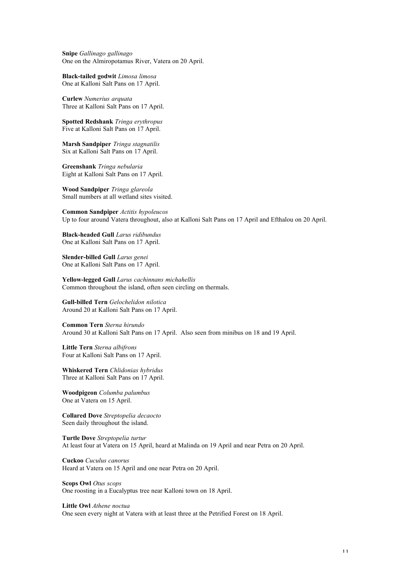**Snipe** *Gallinago gallinago* One on the Almiropotamus River, Vatera on 20 April.

**Black-tailed godwit** *Limosa limosa* One at Kalloni Salt Pans on 17 April.

**Curlew** *Numerius arquata* Three at Kalloni Salt Pans on 17 April.

**Spotted Redshank** *Tringa erythropus* Five at Kalloni Salt Pans on 17 April.

**Marsh Sandpiper** *Tringa stagnatilis* Six at Kalloni Salt Pans on 17 April.

**Greenshank** *Tringa nebularia* Eight at Kalloni Salt Pans on 17 April.

**Wood Sandpiper** *Tringa glareola* Small numbers at all wetland sites visited.

**Common Sandpiper** *Actitis hypoleucos* Up to four around Vatera throughout, also at Kalloni Salt Pans on 17 April and Efthalou on 20 April.

**Black-headed Gull** *Larus ridibundus* One at Kalloni Salt Pans on 17 April.

**Slender-billed Gull** *Larus genei* One at Kalloni Salt Pans on 17 April.

**Yellow-legged Gull** *Larus cachinnans michahellis* Common throughout the island, often seen circling on thermals.

**Gull-billed Tern** *Gelochelidon nilotica* Around 20 at Kalloni Salt Pans on 17 April.

**Common Tern** *Sterna hirundo* Around 30 at Kalloni Salt Pans on 17 April. Also seen from minibus on 18 and 19 April.

**Little Tern** *Sterna albifrons* Four at Kalloni Salt Pans on 17 April.

**Whiskered Tern** *Chlidonias hybridus* Three at Kalloni Salt Pans on 17 April.

**Woodpigeon** *Columba palumbus* One at Vatera on 15 April.

**Collared Dove** *Streptopelia decaocto* Seen daily throughout the island.

**Turtle Dove** *Streptopelia turtur* At least four at Vatera on 15 April, heard at Malinda on 19 April and near Petra on 20 April.

**Cuckoo** *Cuculus canorus* Heard at Vatera on 15 April and one near Petra on 20 April.

**Scops Owl** *Otus scops* One roosting in a Eucalyptus tree near Kalloni town on 18 April.

**Little Owl** *Athene noctua*

One seen every night at Vatera with at least three at the Petrified Forest on 18 April.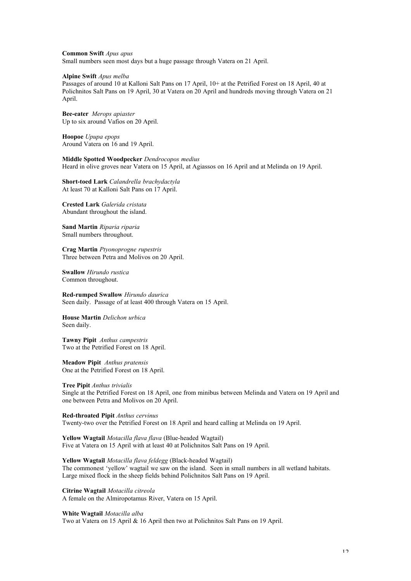**Common Swift** *Apus apus*

Small numbers seen most days but a huge passage through Vatera on 21 April.

#### **Alpine Swift** *Apus melba*

Passages of around 10 at Kalloni Salt Pans on 17 April, 10+ at the Petrified Forest on 18 April, 40 at Polichnitos Salt Pans on 19 April, 30 at Vatera on 20 April and hundreds moving through Vatera on 21 April.

**Bee-eater** *Merops apiaster* Up to six around Vafios on 20 April.

**Hoopoe** *Upupa epops* Around Vatera on 16 and 19 April.

**Middle Spotted Woodpecker** *Dendrocopos medius* Heard in olive groves near Vatera on 15 April, at Agiassos on 16 April and at Melinda on 19 April.

**Short-toed Lark** *Calandrella brachydactyla* At least 70 at Kalloni Salt Pans on 17 April.

**Crested Lark** *Galerida cristata* Abundant throughout the island.

**Sand Martin** *Riparia riparia* Small numbers throughout.

**Crag Martin** *Ptyonoprogne rupestris* Three between Petra and Molivos on 20 April.

**Swallow** *Hirundo rustica* Common throughout.

**Red-rumped Swallow** *Hirundo daurica* Seen daily. Passage of at least 400 through Vatera on 15 April.

**House Martin** *Delichon urbica* Seen daily.

**Tawny Pipit** *Anthus campestris* Two at the Petrified Forest on 18 April.

**Meadow Pipit** *Anthus pratensis* One at the Petrified Forest on 18 April.

**Tree Pipit** *Anthus trivialis* Single at the Petrified Forest on 18 April, one from minibus between Melinda and Vatera on 19 April and one between Petra and Molivos on 20 April.

**Red-throated Pipit** *Anthus cervinus* Twenty-two over the Petrified Forest on 18 April and heard calling at Melinda on 19 April.

**Yellow Wagtail** *Motacilla flava flava* (Blue-headed Wagtail) Five at Vatera on 15 April with at least 40 at Polichnitos Salt Pans on 19 April.

**Yellow Wagtail** *Motacilla flava feldegg* (Black-headed Wagtail) The commonest 'yellow' wagtail we saw on the island. Seen in small numbers in all wetland habitats. Large mixed flock in the sheep fields behind Polichnitos Salt Pans on 19 April.

**Citrine Wagtail** *Motacilla citreola*

A female on the Almiropotamus River, Vatera on 15 April.

#### **White Wagtail** *Motacilla alba*

Two at Vatera on 15 April & 16 April then two at Polichnitos Salt Pans on 19 April.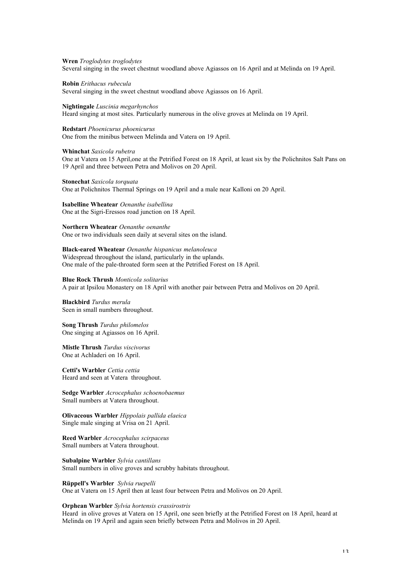### **Wren** *Troglodytes troglodytes*

Several singing in the sweet chestnut woodland above Agiassos on 16 April and at Melinda on 19 April.

#### **Robin** *Erithacus rubecula*

Several singing in the sweet chestnut woodland above Agiassos on 16 April.

#### **Nightingale** *Luscinia megarhynchos*

Heard singing at most sites. Particularly numerous in the olive groves at Melinda on 19 April.

#### **Redstart** *Phoenicurus phoenicurus*

One from the minibus between Melinda and Vatera on 19 April.

#### **Whinchat** *Saxicola rubetra*

One at Vatera on 15 April,one at the Petrified Forest on 18 April, at least six by the Polichnitos Salt Pans on 19 April and three between Petra and Molivos on 20 April.

## **Stonechat** *Saxicola torquata*

One at Polichnitos Thermal Springs on 19 April and a male near Kalloni on 20 April.

### **Isabelline Wheatear** *Oenanthe isabellina*

One at the Sigri-Eressos road junction on 18 April.

#### **Northern Wheatear** *Oenanthe oenanthe*

One or two individuals seen daily at several sites on the island.

#### **Black-eared Wheatear** *Oenanthe hispanicus melanoleuca*

Widespread throughout the island, particularly in the uplands. One male of the pale-throated form seen at the Petrified Forest on 18 April.

#### **Blue Rock Thrush** *Monticola solitarius*

A pair at Ipsilou Monastery on 18 April with another pair between Petra and Molivos on 20 April.

#### **Blackbird** *Turdus merula* Seen in small numbers throughout.

**Song Thrush** *Turdus philomelos* One singing at Agiassos on 16 April.

### **Mistle Thrush** *Turdus viscivorus* One at Achladeri on 16 April.

**Cetti's Warbler** *Cettia cettia* Heard and seen at Vatera throughout.

**Sedge Warbler** *Acrocephalus schoenobaemus* Small numbers at Vatera throughout.

**Olivaceous Warbler** *Hippolais pallida elaeica* Single male singing at Vrisa on 21 April.

**Reed Warbler** *Acrocephalus scirpaceus* Small numbers at Vatera throughout.

**Subalpine Warbler** *Sylvia cantillans* Small numbers in olive groves and scrubby habitats throughout.

### **Rüppell's Warbler** *Sylvia ruepelli*

One at Vatera on 15 April then at least four between Petra and Molivos on 20 April.

### **Orphean Warbler** *Sylvia hortensis crassirostris*

Heard in olive groves at Vatera on 15 April, one seen briefly at the Petrified Forest on 18 April, heard at Melinda on 19 April and again seen briefly between Petra and Molivos in 20 April.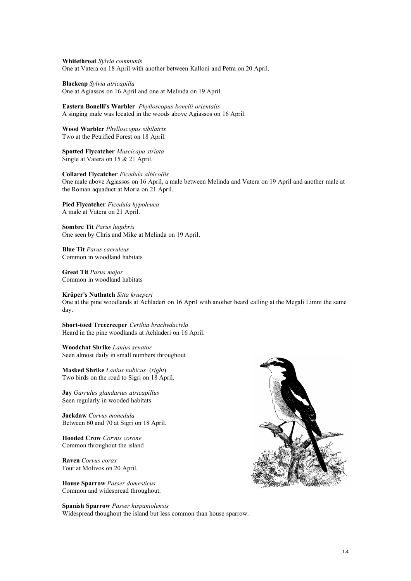**Whitethroat** *Sylvia communis* One at Vatera on 18 April with another between Kalloni and Petra on 20 April.

**Blackcap** *Sylvia atricapilla* One at Agiassos on 16 April and one at Melinda on 19 April.

**Eastern Bonelli's Warbler** *Phylloscopus bonelli orientalis* A singing male was located in the woods above Agiassos on 16 April.

**Wood Warbler** *Phylloscopus sibilatrix* Two at the Petrified Forest on 18 April.

**Spotted Flycatcher** *Muscicapa striata* Single at Vatera on 15 & 21 April.

**Collared Flycatcher** *Ficedula albicollis* One male above Agiassos on 16 April, a male between Melinda and Vatera on 19 April and another male at the Roman aquaduct at Moria on 21 April.

**Pied Flycatcher** *Ficedula hypoleuca* A male at Vatera on 21 April.

**Sombre Tit** *Parus lugubris* One seen by Chris and Mike at Melinda on 19 April.

**Blue Tit** *Parus caeruleus* Common in woodland habitats

**Great Tit** *Parus major* Common in woodland habitats

**Krüper's Nuthatch** *Sitta krueperi*

One at the pine woodlands at Achladeri on 16 April with another heard calling at the Megali Limni the same day.

**Short-toed Treecreeper** *Certhia brachydactyla* Heard in the pine woodlands at Achladeri on 16 April.

**Woodchat Shrike** *Lanius senator* Seen almost daily in small numbers throughout

**Masked Shrike** *Lanius nubicus* (*right*) Two birds on the road to Sigri on 18 April.

**Jay** *Garrulus glandarius atricapillus* Seen regularly in wooded habitats

**Jackdaw** *Corvus monedula* Between 60 and 70 at Sigri on 18 April.

**Hooded Crow** *Corvus corone* Common throughout the island

**Raven** *Corvus corax* Four at Molivos on 20 April.

**House Sparrow** *Passer domesticus* Common and widespread throughout.

**Spanish Sparrow** *Passer hispaniolensis* Widespread thoughout the island but less common than house sparrow.

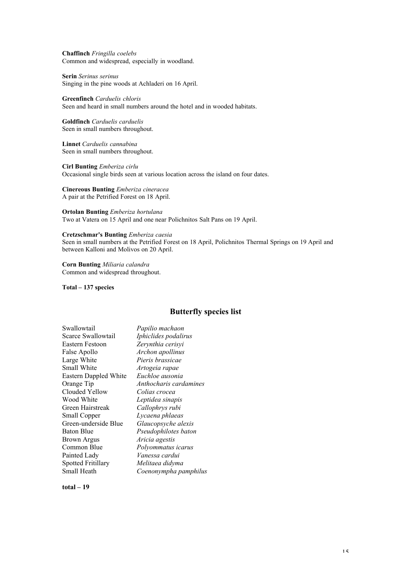**Chaffinch** *Fringilla coelebs* Common and widespread, especially in woodland.

**Serin** *Serinus serinus* Singing in the pine woods at Achladeri on 16 April.

**Greenfinch** *Carduelis chloris* Seen and heard in small numbers around the hotel and in wooded habitats.

**Goldfinch** *Carduelis carduelis* Seen in small numbers throughout.

**Linnet** *Carduelis cannabina* Seen in small numbers throughout.

**Cirl Bunting** *Emberiza cirlu* Occasional single birds seen at various location across the island on four dates.

**Cinereous Bunting** *Emberiza cineracea* A pair at the Petrified Forest on 18 April.

**Ortolan Bunting** *Emberiza hortulana* Two at Vatera on 15 April and one near Polichnitos Salt Pans on 19 April.

### **Cretzschmar's Bunting** *Emberiza caesia*

Seen in small numbers at the Petrified Forest on 18 April, Polichnitos Thermal Springs on 19 April and between Kalloni and Molivos on 20 April.

**Corn Bunting** *Miliaria calandra* Common and widespread throughout.

**Total – 137 species**

## **Butterfly species list**

| Swallowtail               | Papilio machaon        |
|---------------------------|------------------------|
| Scarce Swallowtail        | Iphiclides podalirus   |
| Eastern Festoon           | Zerynthia cerisyi      |
| False Apollo              | Archon apollinus       |
| Large White               | Pieris brassicae       |
| Small White               | Artogeia rapae         |
| Eastern Dappled White     | Euchloe ausonia        |
| Orange Tip                | Anthocharis cardamines |
| Clouded Yellow            | Colias crocea          |
| Wood White                | Leptidea sinapis       |
| Green Hairstreak          | Callophrys rubi        |
| Small Copper              | Lycaena phlaeas        |
| Green-underside Blue      | Glaucopsyche alexis    |
| <b>Baton Blue</b>         | Pseudophilotes baton   |
| Brown Argus               | Aricia agestis         |
| Common Blue               | Polyommatus icarus     |
| Painted Lady              | Vanessa cardui         |
| <b>Spotted Fritillary</b> | Melitaea didyma        |
| Small Heath               | Coenonympha pamphilus  |

**total – 19**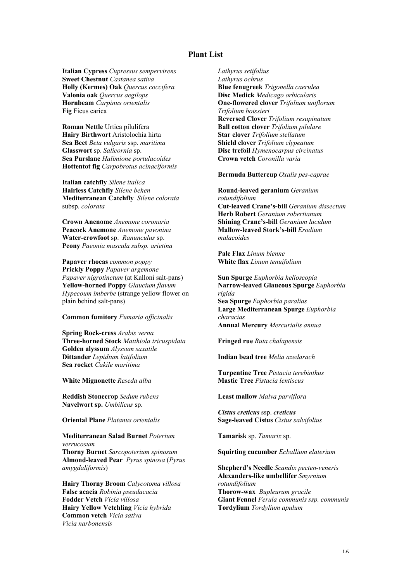## **Plant List**

**Italian Cypress** *Cupressus sempervirens* **Sweet Chestnut** *Castanea sativa* **Holly (Kermes) Oak** *Quercus coccifera* **Valonia oak** *Quercus aegilops* **Hornbeam** *Carpinus orientalis* **Fig** Ficus carica

**Roman Nettle** Urtica pilulifera **Hairy Birthwort** Aristolochia hirta **Sea Beet** *Beta vulgaris* ssp. *maritima* **Glasswort** sp. *Salicornia* sp. **Sea Purslane** *Halimione portulacoides* **Hottentot fig** *Carpobrotus acinaciformis*

**Italian catchfly** *Silene italica* **Hairless Catchfly** *Silene behen* **Mediterranean Catchfly** *Silene colorata* subsp. *colorata*

**Crown Anenome** *Anemone coronaria* **Peacock Anemone** *Anemone pavonina* **Water-crowfoot** sp. *Ranunculus* sp. **Peony** *Paeonia mascula subsp. arietina*

**Papaver rhoeas** *common poppy* **Prickly Poppy** *Papaver argemone Papaver nigrotinctum* (at Kalloni salt-pans) **Yellow-horned Poppy** *Glaucium flavum Hypecoum imberbe* (strange yellow flower on plain behind salt-pans)

### **Common fumitory** *Fumaria officinalis*

**Spring Rock-cress** *Arabis verna* **Three-horned Stock** *Matthiola tricuspidata* **Golden alyssum** *Alyssum saxatile* **Dittander** *Lepidium latifolium* **Sea rocket** *Cakile maritima*

**White Mignonette** *Reseda alba*

**Reddish Stonecrop** *Sedum rubens* **Navelwort sp.** *Umbilicus* sp.

**Oriental Plane** *Platanus orientalis*

# **Mediterranean Salad Burnet** *Poterium verrucosum* **Thorny Burnet** *Sarcopoterium spinosum*

**Almond-leaved Pear** *Pyrus spinosa* (*Pyrus amygdaliformis*)

**Hairy Thorny Broom** *Calycotoma villosa* **False acacia** *Robinia pseudacacia* **Fodder Vetch** *Vicia villosa* **Hairy Yellow Vetchling** *Vicia hybrida* **Common vetch** *Vicia sativa Vicia narbonensis*

*Lathyrus setifolius Lathyrus ochrus* **Blue fenugreek** *Trigonella caerulea* **Disc Medick** *Medicago orbicularis* **One-flowered clover** *Trifolium uniflorum Trifolium boissieri* **Reversed Clover** *Trifolium resupinatum* **Ball cotton clover** *Trifolium pilulare* **Star clover** *Trifolium stellatum* **Shield clover** *Trifolium clypeatum* **Disc trefoil** *Hymenocarpus circinatus* **Crown vetch** *Coronilla varia*

**Bermuda Buttercup** *Oxalis pes-caprae*

**Round-leaved geranium** *Geranium rotundifolium* **Cut-leaved Crane's-bill** *Geranium dissectum* **Herb Robert** *Geranium robertianum* **Shining Crane's-bill** *Geranium lucidum* **Mallow-leaved Stork's-bill** *Erodium malacoides*

**Pale Flax** *Linum bienne* **White flax** *Linum tenuifolium*

**Sun Spurge** *Euphorbia helioscopia* **Narrow-leaved Glaucous Spurge** *Euphorbia rigida* **Sea Spurge** *Euphorbia paralias* **Large Mediterranean Spurge** *Euphorbia characias* **Annual Mercury** *Mercurialis annua*

**Fringed rue** *Ruta chalapensis*

**Indian bead tree** *Melia azedarach*

**Turpentine Tree** *Pistacia terebinthus* **Mastic Tree** *Pistacia lentiscus*

**Least mallow** *Malva parviflora*

*Cistus creticus* ssp. *creticus* **Sage-leaved Cistus** *Cistus salvifolius*

**Tamarisk** sp. *Tamarix* sp.

**Squirting cucumber** *Ecballium elaterium*

### **Shepherd's Needle** *Scandix pecten-veneris* **Alexanders-like umbellifer** *Smyrnium rotundifolium* **Thorow-wax** *Bupleurum gracile* **Giant Fennel** *Ferula communis ssp. communis* **Tordylium** *Tordylium apulum*